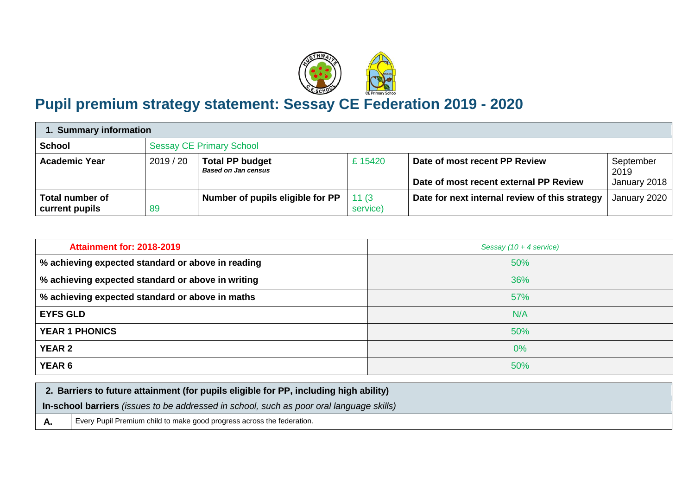

## **Pupil premium strategy statement: Sessay CE Federation 2019 - 2020**

| 1. Summary information                   |         |                                                      |                   |                                                                         |                                   |  |
|------------------------------------------|---------|------------------------------------------------------|-------------------|-------------------------------------------------------------------------|-----------------------------------|--|
| <b>School</b>                            |         | <b>Sessay CE Primary School</b>                      |                   |                                                                         |                                   |  |
| <b>Academic Year</b>                     | 2019/20 | <b>Total PP budget</b><br><b>Based on Jan census</b> | £15420            | Date of most recent PP Review<br>Date of most recent external PP Review | September<br>2019<br>January 2018 |  |
| <b>Total number of</b><br>current pupils | 89      | Number of pupils eligible for PP                     | 11(3)<br>service) | Date for next internal review of this strategy                          | January 2020                      |  |

| <b>Attainment for: 2018-2019</b>                  | Sessay (10 + 4 service) |
|---------------------------------------------------|-------------------------|
| % achieving expected standard or above in reading | 50%                     |
| % achieving expected standard or above in writing | 36%                     |
| % achieving expected standard or above in maths   | 57%                     |
| <b>EYFS GLD</b>                                   | N/A                     |
| <b>YEAR 1 PHONICS</b>                             | 50%                     |
| <b>YEAR 2</b>                                     | 0%                      |
| YEAR 6                                            | 50%                     |

| 2. Barriers to future attainment (for pupils eligible for PP, including high ability) |                                                                                          |  |  |
|---------------------------------------------------------------------------------------|------------------------------------------------------------------------------------------|--|--|
|                                                                                       | In-school barriers (issues to be addressed in school, such as poor oral language skills) |  |  |
|                                                                                       | Every Pupil Premium child to make good progress across the federation.                   |  |  |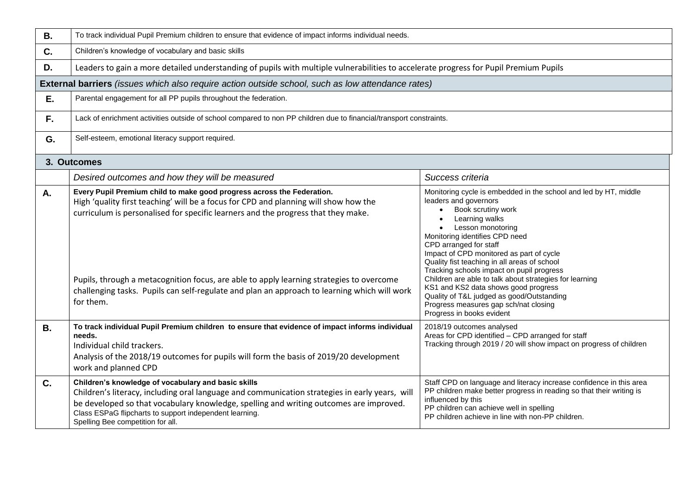| <b>B.</b> | To track individual Pupil Premium children to ensure that evidence of impact informs individual needs.                                                                                                                                                                                                                                                                                                                                                       |                                                                                                                                                                                                                                                                                                                                                                                                                                                                                                                                                                                                             |  |  |  |  |
|-----------|--------------------------------------------------------------------------------------------------------------------------------------------------------------------------------------------------------------------------------------------------------------------------------------------------------------------------------------------------------------------------------------------------------------------------------------------------------------|-------------------------------------------------------------------------------------------------------------------------------------------------------------------------------------------------------------------------------------------------------------------------------------------------------------------------------------------------------------------------------------------------------------------------------------------------------------------------------------------------------------------------------------------------------------------------------------------------------------|--|--|--|--|
| C.        | Children's knowledge of vocabulary and basic skills                                                                                                                                                                                                                                                                                                                                                                                                          |                                                                                                                                                                                                                                                                                                                                                                                                                                                                                                                                                                                                             |  |  |  |  |
| D.        | Leaders to gain a more detailed understanding of pupils with multiple vulnerabilities to accelerate progress for Pupil Premium Pupils                                                                                                                                                                                                                                                                                                                        |                                                                                                                                                                                                                                                                                                                                                                                                                                                                                                                                                                                                             |  |  |  |  |
|           | <b>External barriers</b> (issues which also require action outside school, such as low attendance rates)                                                                                                                                                                                                                                                                                                                                                     |                                                                                                                                                                                                                                                                                                                                                                                                                                                                                                                                                                                                             |  |  |  |  |
| E.        | Parental engagement for all PP pupils throughout the federation.                                                                                                                                                                                                                                                                                                                                                                                             |                                                                                                                                                                                                                                                                                                                                                                                                                                                                                                                                                                                                             |  |  |  |  |
| F.        | Lack of enrichment activities outside of school compared to non PP children due to financial/transport constraints.                                                                                                                                                                                                                                                                                                                                          |                                                                                                                                                                                                                                                                                                                                                                                                                                                                                                                                                                                                             |  |  |  |  |
| G.        | Self-esteem, emotional literacy support required.                                                                                                                                                                                                                                                                                                                                                                                                            |                                                                                                                                                                                                                                                                                                                                                                                                                                                                                                                                                                                                             |  |  |  |  |
|           | 3. Outcomes                                                                                                                                                                                                                                                                                                                                                                                                                                                  |                                                                                                                                                                                                                                                                                                                                                                                                                                                                                                                                                                                                             |  |  |  |  |
|           | Desired outcomes and how they will be measured                                                                                                                                                                                                                                                                                                                                                                                                               | Success criteria                                                                                                                                                                                                                                                                                                                                                                                                                                                                                                                                                                                            |  |  |  |  |
| A.        | Every Pupil Premium child to make good progress across the Federation.<br>High 'quality first teaching' will be a focus for CPD and planning will show how the<br>curriculum is personalised for specific learners and the progress that they make.<br>Pupils, through a metacognition focus, are able to apply learning strategies to overcome<br>challenging tasks. Pupils can self-regulate and plan an approach to learning which will work<br>for them. | Monitoring cycle is embedded in the school and led by HT, middle<br>leaders and governors<br>Book scrutiny work<br>$\bullet$<br>Learning walks<br>$\bullet$<br>Lesson monotoring<br>Monitoring identifies CPD need<br>CPD arranged for staff<br>Impact of CPD monitored as part of cycle<br>Quality fist teaching in all areas of school<br>Tracking schools impact on pupil progress<br>Children are able to talk about strategies for learning<br>KS1 and KS2 data shows good progress<br>Quality of T&L judged as good/Outstanding<br>Progress measures gap sch/nat closing<br>Progress in books evident |  |  |  |  |
| <b>B.</b> | To track individual Pupil Premium children to ensure that evidence of impact informs individual<br>needs.<br>Individual child trackers.<br>Analysis of the 2018/19 outcomes for pupils will form the basis of 2019/20 development<br>work and planned CPD                                                                                                                                                                                                    | 2018/19 outcomes analysed<br>Areas for CPD identified - CPD arranged for staff<br>Tracking through 2019 / 20 will show impact on progress of children                                                                                                                                                                                                                                                                                                                                                                                                                                                       |  |  |  |  |
| C.        | Children's knowledge of vocabulary and basic skills<br>Children's literacy, including oral language and communication strategies in early years, will<br>be developed so that vocabulary knowledge, spelling and writing outcomes are improved.<br>Class ESPaG flipcharts to support independent learning.<br>Spelling Bee competition for all.                                                                                                              | Staff CPD on language and literacy increase confidence in this area<br>PP children make better progress in reading so that their writing is<br>influenced by this<br>PP children can achieve well in spelling<br>PP children achieve in line with non-PP children.                                                                                                                                                                                                                                                                                                                                          |  |  |  |  |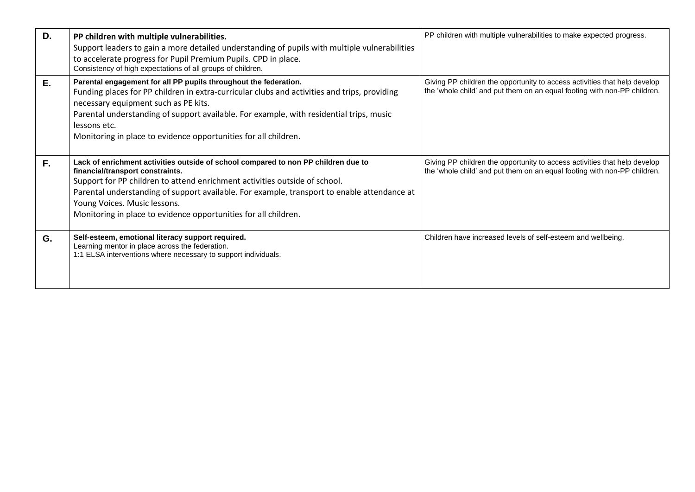| D. | PP children with multiple vulnerabilities.<br>Support leaders to gain a more detailed understanding of pupils with multiple vulnerabilities<br>to accelerate progress for Pupil Premium Pupils. CPD in place.<br>Consistency of high expectations of all groups of children.                                                                                                                           | PP children with multiple vulnerabilities to make expected progress.                                                                                  |
|----|--------------------------------------------------------------------------------------------------------------------------------------------------------------------------------------------------------------------------------------------------------------------------------------------------------------------------------------------------------------------------------------------------------|-------------------------------------------------------------------------------------------------------------------------------------------------------|
| E. | Parental engagement for all PP pupils throughout the federation.<br>Funding places for PP children in extra-curricular clubs and activities and trips, providing<br>necessary equipment such as PE kits.<br>Parental understanding of support available. For example, with residential trips, music<br>lessons etc.<br>Monitoring in place to evidence opportunities for all children.                 | Giving PP children the opportunity to access activities that help develop<br>the 'whole child' and put them on an equal footing with non-PP children. |
| F. | Lack of enrichment activities outside of school compared to non PP children due to<br>financial/transport constraints.<br>Support for PP children to attend enrichment activities outside of school.<br>Parental understanding of support available. For example, transport to enable attendance at<br>Young Voices. Music lessons.<br>Monitoring in place to evidence opportunities for all children. | Giving PP children the opportunity to access activities that help develop<br>the 'whole child' and put them on an equal footing with non-PP children. |
| G. | Self-esteem, emotional literacy support required.<br>Learning mentor in place across the federation.<br>1:1 ELSA interventions where necessary to support individuals.                                                                                                                                                                                                                                 | Children have increased levels of self-esteem and wellbeing.                                                                                          |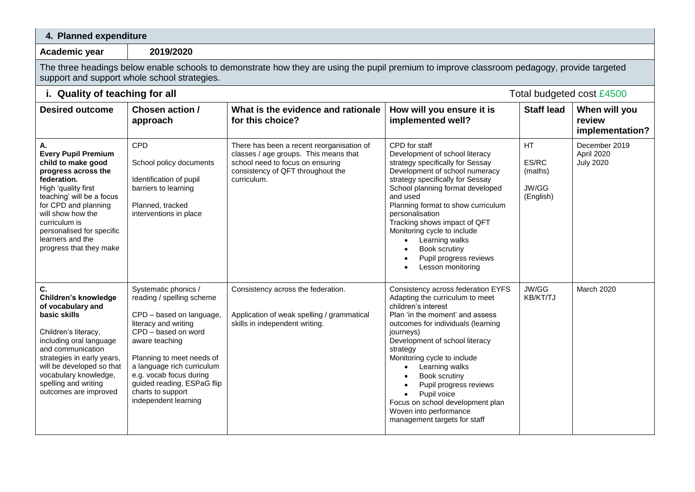## **4. Planned expenditure**

**Academic year 2019/2020**

The three headings below enable schools to demonstrate how they are using the pupil premium to improve classroom pedagogy, provide targeted support and support whole school strategies.

| i. Quality of teaching for all                                                                                                                                                                                                                                                             |                                                                                                                                                                                                                                                                                                                 |                                                                                                                                                                            | Total budgeted cost £4500                                                                                                                                                                                                                                                                                                                                                                                                                 |                                                     |                                                 |
|--------------------------------------------------------------------------------------------------------------------------------------------------------------------------------------------------------------------------------------------------------------------------------------------|-----------------------------------------------------------------------------------------------------------------------------------------------------------------------------------------------------------------------------------------------------------------------------------------------------------------|----------------------------------------------------------------------------------------------------------------------------------------------------------------------------|-------------------------------------------------------------------------------------------------------------------------------------------------------------------------------------------------------------------------------------------------------------------------------------------------------------------------------------------------------------------------------------------------------------------------------------------|-----------------------------------------------------|-------------------------------------------------|
| <b>Desired outcome</b>                                                                                                                                                                                                                                                                     | Chosen action /<br>approach                                                                                                                                                                                                                                                                                     | What is the evidence and rationale<br>for this choice?                                                                                                                     | How will you ensure it is<br>implemented well?                                                                                                                                                                                                                                                                                                                                                                                            | <b>Staff lead</b>                                   | When will you<br>review<br>implementation?      |
| А.<br><b>Every Pupil Premium</b><br>child to make good<br>progress across the<br>federation.<br>High 'quality first<br>teaching' will be a focus<br>for CPD and planning<br>will show how the<br>curriculum is<br>personalised for specific<br>learners and the<br>progress that they make | <b>CPD</b><br>School policy documents<br>Identification of pupil<br>barriers to learning<br>Planned, tracked<br>interventions in place                                                                                                                                                                          | There has been a recent reorganisation of<br>classes / age groups. This means that<br>school need to focus on ensuring<br>consistency of QFT throughout the<br>curriculum. | CPD for staff<br>Development of school literacy<br>strategy specifically for Sessay<br>Development of school numeracy<br>strategy specifically for Sessay<br>School planning format developed<br>and used<br>Planning format to show curriculum<br>personalisation<br>Tracking shows impact of QFT<br>Monitoring cycle to include<br>Learning walks<br>Book scrutiny<br>Pupil progress reviews<br>Lesson monitoring                       | <b>HT</b><br>ES/RC<br>(maths)<br>JW/GG<br>(English) | December 2019<br>April 2020<br><b>July 2020</b> |
| С.<br>Children's knowledge<br>of vocabulary and<br>basic skills<br>Children's literacy,<br>including oral language<br>and communication<br>strategies in early years,<br>will be developed so that<br>vocabulary knowledge,<br>spelling and writing<br>outcomes are improved               | Systematic phonics /<br>reading / spelling scheme<br>CPD - based on language,<br>literacy and writing<br>CPD - based on word<br>aware teaching<br>Planning to meet needs of<br>a language rich curriculum<br>e.g. vocab focus during<br>guided reading, ESPaG flip<br>charts to support<br>independent learning | Consistency across the federation.<br>Application of weak spelling / grammatical<br>skills in independent writing.                                                         | Consistency across federation EYFS<br>Adapting the curriculum to meet<br>children's interest<br>Plan 'in the moment' and assess<br>outcomes for individuals (learning<br>journeys)<br>Development of school literacy<br>strategy<br>Monitoring cycle to include<br>Learning walks<br>Book scrutiny<br>Pupil progress reviews<br>Pupil voice<br>Focus on school development plan<br>Woven into performance<br>management targets for staff | JW/GG<br>KB/KT/TJ                                   | March 2020                                      |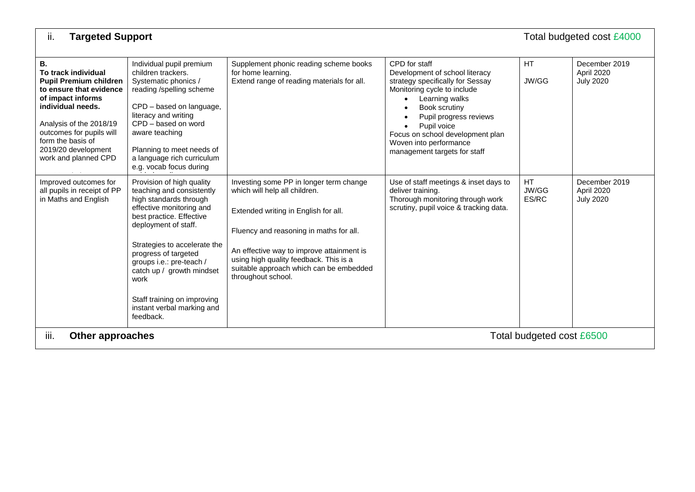| ii.<br><b>Targeted Support</b><br>Total budgeted cost £4000                                                                                                                                                                                                |                                                                                                                                                                                                                                                                                                                                                                     |                                                                                                                                                                                                                                                                                                                     |                                                                                                                                                                                                                                                                                                                        |                             |                                                 |
|------------------------------------------------------------------------------------------------------------------------------------------------------------------------------------------------------------------------------------------------------------|---------------------------------------------------------------------------------------------------------------------------------------------------------------------------------------------------------------------------------------------------------------------------------------------------------------------------------------------------------------------|---------------------------------------------------------------------------------------------------------------------------------------------------------------------------------------------------------------------------------------------------------------------------------------------------------------------|------------------------------------------------------------------------------------------------------------------------------------------------------------------------------------------------------------------------------------------------------------------------------------------------------------------------|-----------------------------|-------------------------------------------------|
| В.<br>To track individual<br><b>Pupil Premium children</b><br>to ensure that evidence<br>of impact informs<br>individual needs.<br>Analysis of the 2018/19<br>outcomes for pupils will<br>form the basis of<br>2019/20 development<br>work and planned CPD | Individual pupil premium<br>children trackers.<br>Systematic phonics /<br>reading /spelling scheme<br>CPD - based on language,<br>literacy and writing<br>CPD - based on word<br>aware teaching<br>Planning to meet needs of<br>a language rich curriculum<br>e.g. vocab focus during                                                                               | Supplement phonic reading scheme books<br>for home learning.<br>Extend range of reading materials for all.                                                                                                                                                                                                          | CPD for staff<br>Development of school literacy<br>strategy specifically for Sessay<br>Monitoring cycle to include<br>Learning walks<br>$\bullet$<br>Book scrutiny<br>Pupil progress reviews<br>Pupil voice<br>$\bullet$<br>Focus on school development plan<br>Woven into performance<br>management targets for staff | HT.<br>JW/GG                | December 2019<br>April 2020<br><b>July 2020</b> |
| Improved outcomes for<br>all pupils in receipt of PP<br>in Maths and English                                                                                                                                                                               | Provision of high quality<br>teaching and consistently<br>high standards through<br>effective monitoring and<br>best practice. Effective<br>deployment of staff.<br>Strategies to accelerate the<br>progress of targeted<br>groups i.e.: pre-teach /<br>catch up / growth mindset<br>work<br>Staff training on improving<br>instant verbal marking and<br>feedback. | Investing some PP in longer term change<br>which will help all children.<br>Extended writing in English for all.<br>Fluency and reasoning in maths for all.<br>An effective way to improve attainment is<br>using high quality feedback. This is a<br>suitable approach which can be embedded<br>throughout school. | Use of staff meetings & inset days to<br>deliver training.<br>Thorough monitoring through work<br>scrutiny, pupil voice & tracking data.                                                                                                                                                                               | <b>HT</b><br>JW/GG<br>ES/RC | December 2019<br>April 2020<br><b>July 2020</b> |
| iii.<br>Other approaches<br>Total budgeted cost £6500                                                                                                                                                                                                      |                                                                                                                                                                                                                                                                                                                                                                     |                                                                                                                                                                                                                                                                                                                     |                                                                                                                                                                                                                                                                                                                        |                             |                                                 |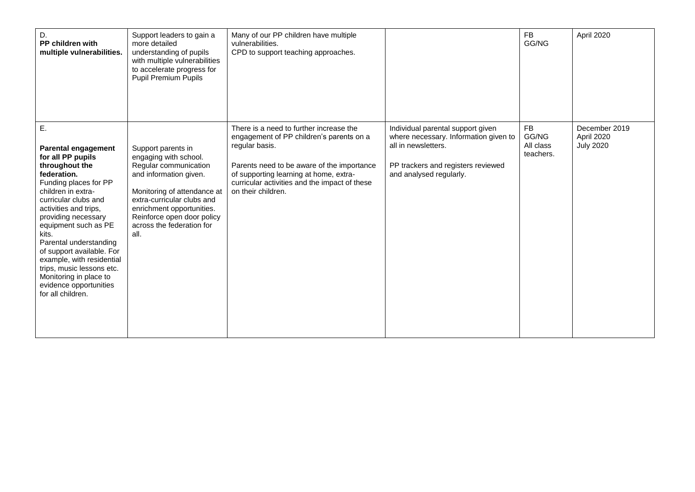| D.<br>PP children with<br>multiple vulnerabilities.                                                                                                                                                                                                                                                                                                                                                                               | Support leaders to gain a<br>more detailed<br>understanding of pupils<br>with multiple vulnerabilities<br>to accelerate progress for<br><b>Pupil Premium Pupils</b>                                                                                         | Many of our PP children have multiple<br>vulnerabilities.<br>CPD to support teaching approaches.                                                                                                                                                                     |                                                                                                                                                                    | <b>FB</b><br>GG/NG                           | April 2020                                      |
|-----------------------------------------------------------------------------------------------------------------------------------------------------------------------------------------------------------------------------------------------------------------------------------------------------------------------------------------------------------------------------------------------------------------------------------|-------------------------------------------------------------------------------------------------------------------------------------------------------------------------------------------------------------------------------------------------------------|----------------------------------------------------------------------------------------------------------------------------------------------------------------------------------------------------------------------------------------------------------------------|--------------------------------------------------------------------------------------------------------------------------------------------------------------------|----------------------------------------------|-------------------------------------------------|
| Ε.<br>Parental engagement<br>for all PP pupils<br>throughout the<br>federation.<br>Funding places for PP<br>children in extra-<br>curricular clubs and<br>activities and trips,<br>providing necessary<br>equipment such as PE<br>kits.<br>Parental understanding<br>of support available. For<br>example, with residential<br>trips, music lessons etc.<br>Monitoring in place to<br>evidence opportunities<br>for all children. | Support parents in<br>engaging with school.<br>Regular communication<br>and information given.<br>Monitoring of attendance at<br>extra-curricular clubs and<br>enrichment opportunities.<br>Reinforce open door policy<br>across the federation for<br>all. | There is a need to further increase the<br>engagement of PP children's parents on a<br>regular basis.<br>Parents need to be aware of the importance<br>of supporting learning at home, extra-<br>curricular activities and the impact of these<br>on their children. | Individual parental support given<br>where necessary. Information given to<br>all in newsletters.<br>PP trackers and registers reviewed<br>and analysed regularly. | <b>FB</b><br>GG/NG<br>All class<br>teachers. | December 2019<br>April 2020<br><b>July 2020</b> |